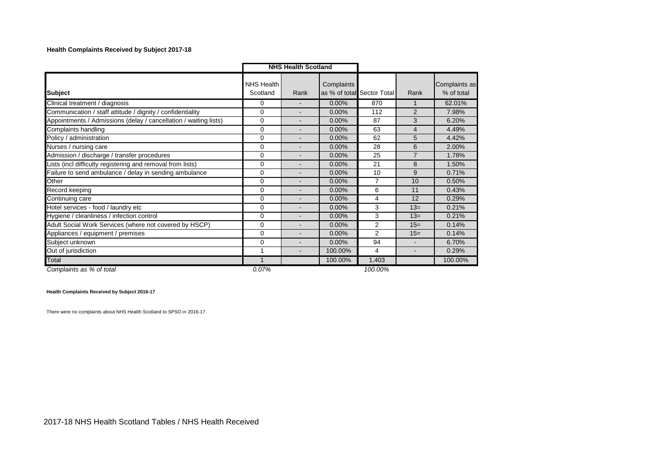## **Health Complaints Received by Subject 2017-18**

|                                                                  | <b>NHS Health Scotland</b> |                          |            |                            |                |                             |
|------------------------------------------------------------------|----------------------------|--------------------------|------------|----------------------------|----------------|-----------------------------|
| <b>Subject</b>                                                   | NHS Health<br>Scotland     | Rank                     | Complaints | as % of total Sector Total | Rank           | Complaints as<br>% of total |
| Clinical treatment / diagnosis                                   | 0                          | $\blacksquare$           | 0.00%      | 870                        | 1              | 62.01%                      |
| Communication / staff attitude / dignity / confidentiality       | 0                          | $\blacksquare$           | 0.00%      | 112                        | 2              | 7.98%                       |
| Appointments / Admissions (delay / cancellation / waiting lists) | 0                          | $\blacksquare$           | 0.00%      | 87                         | 3              | 6.20%                       |
| Complaints handling                                              | 0                          | $\overline{\phantom{a}}$ | 0.00%      | 63                         | 4              | 4.49%                       |
| Policy / administration                                          | $\Omega$                   | $\overline{\phantom{a}}$ | 0.00%      | 62                         | 5              | 4.42%                       |
| Nurses / nursing care                                            | $\Omega$                   | -                        | 0.00%      | 28                         | 6              | 2.00%                       |
| Admission / discharge / transfer procedures                      | $\Omega$                   | -                        | 0.00%      | 25                         | $\overline{7}$ | 1.78%                       |
| Lists (incl difficulty registering and removal from lists)       | $\Omega$                   | -                        | 0.00%      | 21                         | 8              | 1.50%                       |
| Failure to send ambulance / delay in sending ambulance           | 0                          | $\blacksquare$           | 0.00%      | 10                         | 9              | 0.71%                       |
| Other                                                            | $\Omega$                   | $\blacksquare$           | $0.00\%$   | $\overline{7}$             | 10             | 0.50%                       |
| Record keeping                                                   | $\Omega$                   | $\blacksquare$           | 0.00%      | 6                          | 11             | 0.43%                       |
| Continuing care                                                  | $\Omega$                   | $\blacksquare$           | 0.00%      | 4                          | 12             | 0.29%                       |
| Hotel services - food / laundry etc                              | 0                          | $\blacksquare$           | 0.00%      | 3                          | $13=$          | 0.21%                       |
| Hygiene / cleanliness / infection control                        | 0                          | $\blacksquare$           | 0.00%      | 3                          | $13=$          | 0.21%                       |
| Adult Social Work Services (where not covered by HSCP)           | 0                          | $\overline{\phantom{0}}$ | 0.00%      | $\overline{2}$             | $15=$          | 0.14%                       |
| Appliances / equipment / premises                                | $\Omega$                   |                          | 0.00%      | $\overline{2}$             | $15=$          | 0.14%                       |
| Subject unknown                                                  | $\Omega$                   |                          | 0.00%      | 94                         |                | 6.70%                       |
| Out of jurisdiction                                              | 1                          | -                        | 100.00%    | 4                          |                | 0.29%                       |
| <b>Total</b>                                                     | 1                          |                          | 100.00%    | 1,403                      |                | 100.00%                     |
| Complaints as % of total                                         | 0.07%                      |                          |            | 100.00%                    |                |                             |

**Health Complaints Received by Subject 2016-17**

There were no complaints about NHS Health Scotland to SPSO in 2016-17.